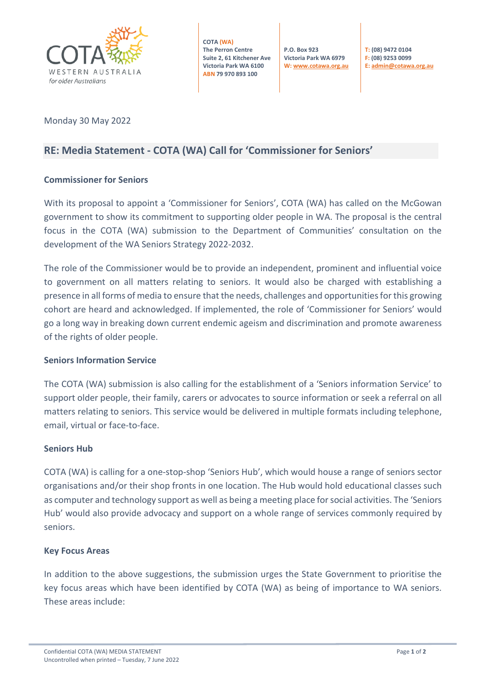

**COTA (WA) The Perron Centre Suite 2, 61 Kitchener Ave Victoria Park WA 6100 ABN 79 970 893 100**

**P.O. Box 923 Victoria Park WA 6979 W[: www.cotawa.org.au](http://www.cotawa.org.au/)**

**T: (08) 9472 0104 F: (08) 9253 0099 E[: admin@cotawa.org.au](mailto:admin@cotawa.org.au)**

### Monday 30 May 2022

## **RE: Media Statement - COTA (WA) Call for 'Commissioner for Seniors'**

#### **Commissioner for Seniors**

With its proposal to appoint a 'Commissioner for Seniors', COTA (WA) has called on the McGowan government to show its commitment to supporting older people in WA. The proposal is the central focus in the COTA (WA) submission to the Department of Communities' consultation on the development of the WA Seniors Strategy 2022-2032.

The role of the Commissioner would be to provide an independent, prominent and influential voice to government on all matters relating to seniors. It would also be charged with establishing a presence in all forms of media to ensure that the needs, challenges and opportunities for this growing cohort are heard and acknowledged. If implemented, the role of 'Commissioner for Seniors' would go a long way in breaking down current endemic ageism and discrimination and promote awareness of the rights of older people.

#### **Seniors Information Service**

The COTA (WA) submission is also calling for the establishment of a 'Seniors information Service' to support older people, their family, carers or advocates to source information or seek a referral on all matters relating to seniors. This service would be delivered in multiple formats including telephone, email, virtual or face-to-face.

#### **Seniors Hub**

COTA (WA) is calling for a one-stop-shop 'Seniors Hub', which would house a range of seniors sector organisations and/or their shop fronts in one location. The Hub would hold educational classes such as computer and technology support as well as being a meeting place for social activities. The 'Seniors Hub' would also provide advocacy and support on a whole range of services commonly required by seniors.

#### **Key Focus Areas**

In addition to the above suggestions, the submission urges the State Government to prioritise the key focus areas which have been identified by COTA (WA) as being of importance to WA seniors. These areas include: